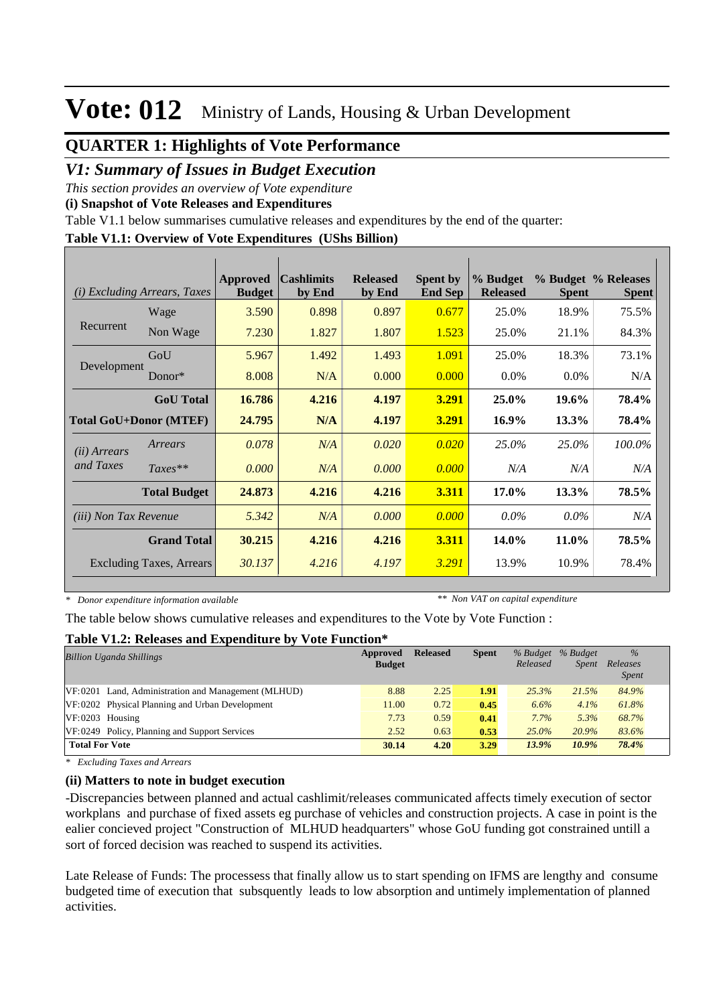### **QUARTER 1: Highlights of Vote Performance**

### *V1: Summary of Issues in Budget Execution*

*This section provides an overview of Vote expenditure* 

**(i) Snapshot of Vote Releases and Expenditures**

Table V1.1 below summarises cumulative releases and expenditures by the end of the quarter:

### **Table V1.1: Overview of Vote Expenditures (UShs Billion)**

| <i>Excluding Arrears, Taxes</i><br>(i) |                               | <b>Approved</b><br><b>Budget</b> | <b>Cashlimits</b><br>by End | <b>Released</b><br>by End | <b>Spent by</b><br><b>End Sep</b> | % Budget<br><b>Released</b> | <b>Spent</b> | % Budget % Releases<br><b>Spent</b> |
|----------------------------------------|-------------------------------|----------------------------------|-----------------------------|---------------------------|-----------------------------------|-----------------------------|--------------|-------------------------------------|
|                                        | Wage                          | 3.590                            | 0.898                       | 0.897                     | 0.677                             | 25.0%                       | 18.9%        | 75.5%                               |
| Recurrent                              | Non Wage                      | 7.230                            | 1.827                       | 1.807                     | 1.523                             | 25.0%                       | 21.1%        | 84.3%                               |
|                                        | GoU                           | 5.967                            | 1.492                       | 1.493                     | 1.091                             | 25.0%                       | 18.3%        | 73.1%                               |
| Development                            | $Donor*$                      | 8.008                            | N/A                         | 0.000                     | 0.000                             | $0.0\%$                     | $0.0\%$      | N/A                                 |
|                                        | <b>GoU</b> Total              | 16.786                           | 4.216                       | 4.197                     | 3.291                             | 25.0%                       | 19.6%        | 78.4%                               |
|                                        | <b>Total GoU+Donor (MTEF)</b> | 24.795                           | N/A                         | 4.197                     | 3.291                             | $16.9\%$                    | 13.3%        | 78.4%                               |
| ( <i>ii</i> ) Arrears                  | Arrears                       | 0.078                            | N/A                         | 0.020                     | 0.020                             | 25.0%                       | 25.0%        | 100.0%                              |
| and Taxes                              | $Taxes**$                     | 0.000                            | N/A                         | 0.000                     | 0.000                             | N/A                         | N/A          | N/A                                 |
|                                        | <b>Total Budget</b>           | 24.873                           | 4.216                       | 4.216                     | 3.311                             | 17.0%                       | 13.3%        | 78.5%                               |
| <i>(iii)</i> Non Tax Revenue           |                               | 5.342                            | N/A                         | 0.000                     | 0.000                             | $0.0\%$                     | $0.0\%$      | N/A                                 |
| <b>Grand Total</b>                     |                               | 30.215                           | 4.216                       | 4.216                     | 3.311                             | 14.0%                       | 11.0%        | 78.5%                               |
| <b>Excluding Taxes, Arrears</b>        |                               | 30.137                           | 4.216                       | 4.197                     | 3.291                             | 13.9%                       | 10.9%        | 78.4%                               |

*\* Donor expenditure information available*

*\*\* Non VAT on capital expenditure*

The table below shows cumulative releases and expenditures to the Vote by Vote Function :

#### **Table V1.2: Releases and Expenditure by Vote Function\***

| <b>Billion Uganda Shillings</b>                     | Approved      | <b>Released</b> | <b>Spent</b> |          | % Budget % Budget | $\frac{9}{6}$ |
|-----------------------------------------------------|---------------|-----------------|--------------|----------|-------------------|---------------|
|                                                     | <b>Budget</b> |                 |              | Released | <i>Spent</i>      | Releases      |
|                                                     |               |                 |              |          |                   | <b>Spent</b>  |
| VF:0201 Land, Administration and Management (MLHUD) | 8.88          | 2.25            | 1.91         | 25.3%    | 21.5%             | 84.9%         |
| VF:0202 Physical Planning and Urban Development     | 11.00         | 0.72            | 0.45         | 6.6%     | 4.1%              | 61.8%         |
| $VF:0203$ Housing                                   | 7.73          | 0.59            | 0.41         | 7.7%     | 5.3%              | 68.7%         |
| VF:0249 Policy, Planning and Support Services       | 2.52          | 0.63            | 0.53         | $25.0\%$ | 20.9%             | 83.6%         |
| <b>Total For Vote</b>                               | 30.14         | 4.20            | 3.29         | 13.9%    | $10.9\%$          | 78.4%         |

*\* Excluding Taxes and Arrears*

#### **(ii) Matters to note in budget execution**

-Discrepancies between planned and actual cashlimit/releases communicated affects timely execution of sector workplans and purchase of fixed assets eg purchase of vehicles and construction projects. A case in point is the ealier concieved project "Construction of MLHUD headquarters" whose GoU funding got constrained untill a sort of forced decision was reached to suspend its activities.

Late Release of Funds: The processess that finally allow us to start spending on IFMS are lengthy and consume budgeted time of execution that subsquently leads to low absorption and untimely implementation of planned activities.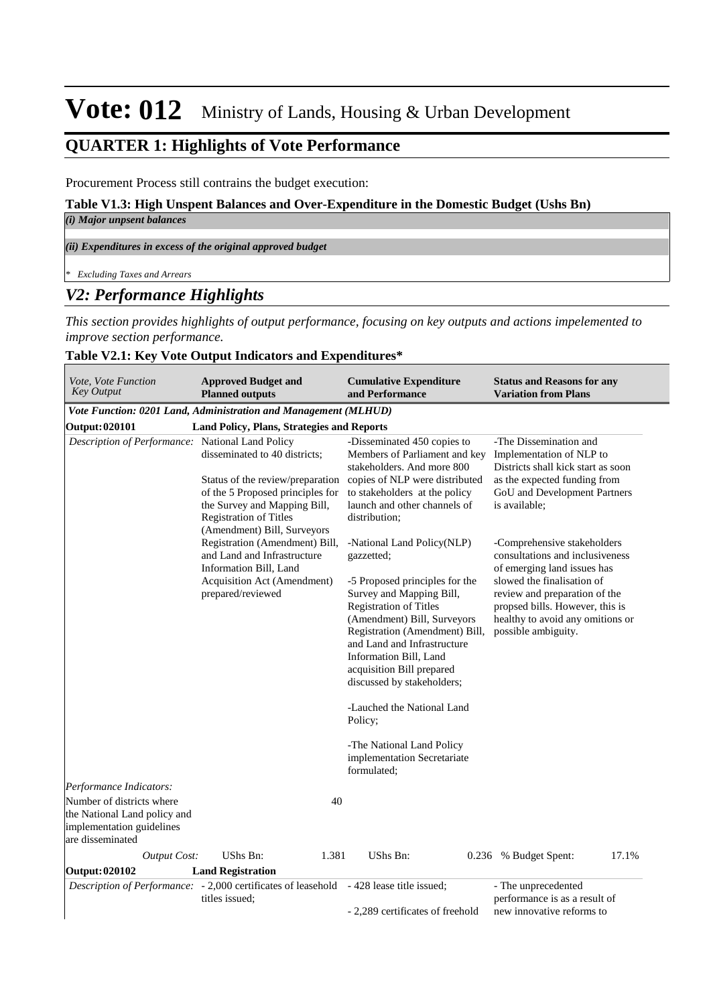### **QUARTER 1: Highlights of Vote Performance**

Procurement Process still contrains the budget execution:

#### **Table V1.3: High Unspent Balances and Over-Expenditure in the Domestic Budget (Ushs Bn)**

#### *(i) Major unpsent balances*

*(ii) Expenditures in excess of the original approved budget*

*\* Excluding Taxes and Arrears*

### *V2: Performance Highlights*

*This section provides highlights of output performance, focusing on key outputs and actions impelemented to improve section performance.*

#### **Table V2.1: Key Vote Output Indicators and Expenditures\***

| Vote, Vote Function<br><b>Key Output</b>                                                                   | <b>Approved Budget and</b><br><b>Planned outputs</b>                                                                                                                                                  | <b>Cumulative Expenditure</b><br>and Performance                                                                                                                                                                                                                                                                                                                                                                                                 | <b>Status and Reasons for any</b><br><b>Variation from Plans</b>                                                                                                                                                                                           |
|------------------------------------------------------------------------------------------------------------|-------------------------------------------------------------------------------------------------------------------------------------------------------------------------------------------------------|--------------------------------------------------------------------------------------------------------------------------------------------------------------------------------------------------------------------------------------------------------------------------------------------------------------------------------------------------------------------------------------------------------------------------------------------------|------------------------------------------------------------------------------------------------------------------------------------------------------------------------------------------------------------------------------------------------------------|
|                                                                                                            | Vote Function: 0201 Land, Administration and Management (MLHUD)                                                                                                                                       |                                                                                                                                                                                                                                                                                                                                                                                                                                                  |                                                                                                                                                                                                                                                            |
| Output: 020101                                                                                             | Land Policy, Plans, Strategies and Reports                                                                                                                                                            |                                                                                                                                                                                                                                                                                                                                                                                                                                                  |                                                                                                                                                                                                                                                            |
| Description of Performance: National Land Policy                                                           | disseminated to 40 districts;<br>Status of the review/preparation<br>of the 5 Proposed principles for<br>the Survey and Mapping Bill,<br><b>Registration of Titles</b><br>(Amendment) Bill, Surveyors | -Disseminated 450 copies to<br>Members of Parliament and key<br>stakeholders. And more 800<br>copies of NLP were distributed<br>to stakeholders at the policy<br>launch and other channels of<br>distribution;                                                                                                                                                                                                                                   | -The Dissemination and<br>Implementation of NLP to<br>Districts shall kick start as soon<br>as the expected funding from<br>GoU and Development Partners<br>is available;                                                                                  |
|                                                                                                            | Registration (Amendment) Bill,<br>and Land and Infrastructure<br>Information Bill, Land<br>Acquisition Act (Amendment)<br>prepared/reviewed                                                           | -National Land Policy(NLP)<br>gazzetted;<br>-5 Proposed principles for the<br>Survey and Mapping Bill,<br><b>Registration of Titles</b><br>(Amendment) Bill, Surveyors<br>Registration (Amendment) Bill,<br>and Land and Infrastructure<br>Information Bill, Land<br>acquisition Bill prepared<br>discussed by stakeholders;<br>-Lauched the National Land<br>Policy;<br>-The National Land Policy<br>implementation Secretariate<br>formulated; | -Comprehensive stakeholders<br>consultations and inclusiveness<br>of emerging land issues has<br>slowed the finalisation of<br>review and preparation of the<br>propsed bills. However, this is<br>healthy to avoid any omitions or<br>possible ambiguity. |
| Performance Indicators:                                                                                    |                                                                                                                                                                                                       |                                                                                                                                                                                                                                                                                                                                                                                                                                                  |                                                                                                                                                                                                                                                            |
| Number of districts where<br>the National Land policy and<br>implementation guidelines<br>are disseminated | 40                                                                                                                                                                                                    |                                                                                                                                                                                                                                                                                                                                                                                                                                                  |                                                                                                                                                                                                                                                            |
| <b>Output Cost:</b>                                                                                        | 1.381<br>UShs Bn:                                                                                                                                                                                     | UShs Bn:<br>0.236                                                                                                                                                                                                                                                                                                                                                                                                                                | 17.1%<br>% Budget Spent:                                                                                                                                                                                                                                   |
| Output: 020102                                                                                             | <b>Land Registration</b>                                                                                                                                                                              |                                                                                                                                                                                                                                                                                                                                                                                                                                                  |                                                                                                                                                                                                                                                            |
|                                                                                                            | Description of Performance: - 2,000 certificates of leasehold - 428 lease title issued;<br>titles issued;                                                                                             |                                                                                                                                                                                                                                                                                                                                                                                                                                                  | - The unprecedented<br>performance is as a result of                                                                                                                                                                                                       |
|                                                                                                            |                                                                                                                                                                                                       | - 2,289 certificates of freehold                                                                                                                                                                                                                                                                                                                                                                                                                 | new innovative reforms to                                                                                                                                                                                                                                  |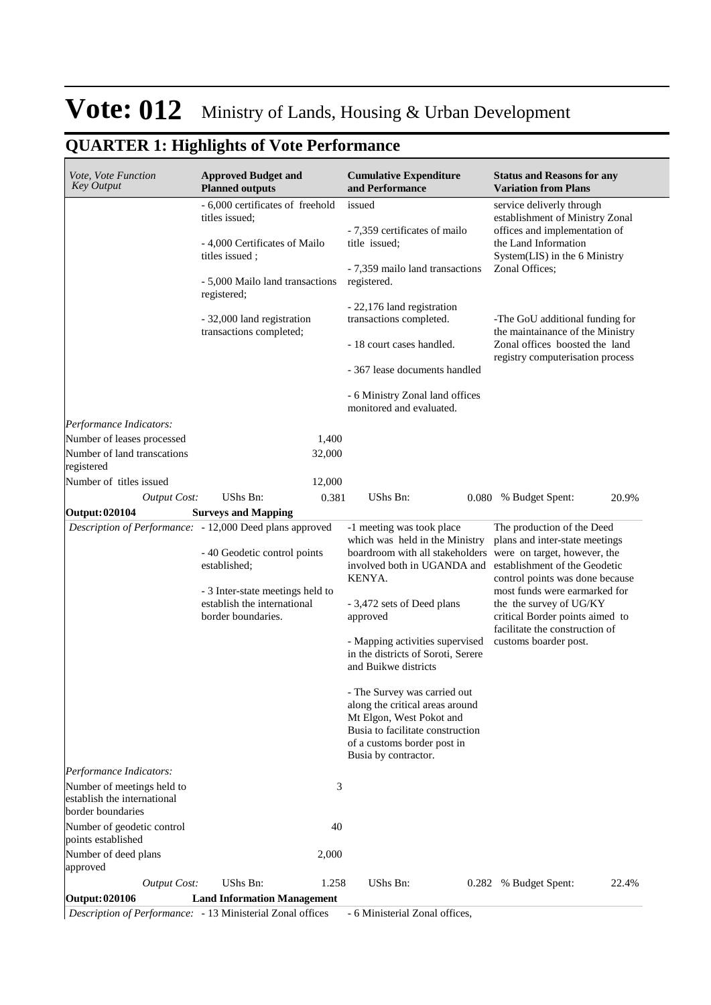## **QUARTER 1: Highlights of Vote Performance**

| - 6,000 certificates of freehold<br>service deliverly through<br>issued<br>titles issued;<br>offices and implementation of<br>- 7,359 certificates of mailo<br>- 4,000 Certificates of Mailo<br>the Land Information<br>title issued:<br>System(LIS) in the 6 Ministry<br>titles issued;<br>Zonal Offices;<br>- 7,359 mailo land transactions<br>registered.<br>- 5,000 Mailo land transactions<br>registered;<br>- 22,176 land registration<br>transactions completed.<br>- 32,000 land registration<br>transactions completed;<br>- 18 court cases handled.<br>- 367 lease documents handled<br>- 6 Ministry Zonal land offices<br>monitored and evaluated.<br>Performance Indicators:<br>Number of leases processed<br>1,400<br>Number of land transcations<br>32,000<br>registered<br>Number of titles issued<br>12,000<br>UShs Bn:<br>UShs Bn:<br><b>Output Cost:</b><br>0.381<br>0.080 % Budget Spent:<br><b>Surveys and Mapping</b><br><b>Output: 020104</b><br>Description of Performance: - 12,000 Deed plans approved<br>The production of the Deed<br>-1 meeting was took place<br>which was held in the Ministry<br>plans and inter-state meetings<br>boardroom with all stakeholders<br>were on target, however, the<br>- 40 Geodetic control points<br>established;<br>establishment of the Geodetic<br>involved both in UGANDA and<br>KENYA.<br>- 3 Inter-state meetings held to<br>most funds were earmarked for<br>establish the international<br>the the survey of UG/KY<br>- 3,472 sets of Deed plans<br>border boundaries.<br>critical Border points aimed to<br>approved<br>facilitate the construction of<br>- Mapping activities supervised<br>customs boarder post.<br>in the districts of Soroti, Serere<br>and Buikwe districts<br>- The Survey was carried out<br>along the critical areas around<br>Mt Elgon, West Pokot and<br>Busia to facilitate construction<br>of a customs border post in<br>Busia by contractor.<br>Performance Indicators:<br>Number of meetings held to<br>3<br>establish the international<br>border boundaries<br>Number of geodetic control<br>40<br>points established<br>Number of deed plans<br>2,000<br>approved<br><b>Output Cost:</b><br><b>UShs Bn:</b><br>UShs Bn:<br>1.258<br>0.282 | <i>Vote, Vote Function</i><br><b>Key Output</b> | <b>Approved Budget and</b><br><b>Planned outputs</b> | <b>Cumulative Expenditure</b><br>and Performance | <b>Status and Reasons for any</b><br><b>Variation from Plans</b>                                                                                                             |
|------------------------------------------------------------------------------------------------------------------------------------------------------------------------------------------------------------------------------------------------------------------------------------------------------------------------------------------------------------------------------------------------------------------------------------------------------------------------------------------------------------------------------------------------------------------------------------------------------------------------------------------------------------------------------------------------------------------------------------------------------------------------------------------------------------------------------------------------------------------------------------------------------------------------------------------------------------------------------------------------------------------------------------------------------------------------------------------------------------------------------------------------------------------------------------------------------------------------------------------------------------------------------------------------------------------------------------------------------------------------------------------------------------------------------------------------------------------------------------------------------------------------------------------------------------------------------------------------------------------------------------------------------------------------------------------------------------------------------------------------------------------------------------------------------------------------------------------------------------------------------------------------------------------------------------------------------------------------------------------------------------------------------------------------------------------------------------------------------------------------------------------------------------------------------------------------------------------------------------------------------|-------------------------------------------------|------------------------------------------------------|--------------------------------------------------|------------------------------------------------------------------------------------------------------------------------------------------------------------------------------|
|                                                                                                                                                                                                                                                                                                                                                                                                                                                                                                                                                                                                                                                                                                                                                                                                                                                                                                                                                                                                                                                                                                                                                                                                                                                                                                                                                                                                                                                                                                                                                                                                                                                                                                                                                                                                                                                                                                                                                                                                                                                                                                                                                                                                                                                      |                                                 |                                                      |                                                  | establishment of Ministry Zonal<br>-The GoU additional funding for<br>the maintainance of the Ministry<br>Zonal offices boosted the land<br>registry computerisation process |
|                                                                                                                                                                                                                                                                                                                                                                                                                                                                                                                                                                                                                                                                                                                                                                                                                                                                                                                                                                                                                                                                                                                                                                                                                                                                                                                                                                                                                                                                                                                                                                                                                                                                                                                                                                                                                                                                                                                                                                                                                                                                                                                                                                                                                                                      |                                                 |                                                      |                                                  |                                                                                                                                                                              |
|                                                                                                                                                                                                                                                                                                                                                                                                                                                                                                                                                                                                                                                                                                                                                                                                                                                                                                                                                                                                                                                                                                                                                                                                                                                                                                                                                                                                                                                                                                                                                                                                                                                                                                                                                                                                                                                                                                                                                                                                                                                                                                                                                                                                                                                      |                                                 |                                                      |                                                  |                                                                                                                                                                              |
|                                                                                                                                                                                                                                                                                                                                                                                                                                                                                                                                                                                                                                                                                                                                                                                                                                                                                                                                                                                                                                                                                                                                                                                                                                                                                                                                                                                                                                                                                                                                                                                                                                                                                                                                                                                                                                                                                                                                                                                                                                                                                                                                                                                                                                                      |                                                 |                                                      |                                                  |                                                                                                                                                                              |
|                                                                                                                                                                                                                                                                                                                                                                                                                                                                                                                                                                                                                                                                                                                                                                                                                                                                                                                                                                                                                                                                                                                                                                                                                                                                                                                                                                                                                                                                                                                                                                                                                                                                                                                                                                                                                                                                                                                                                                                                                                                                                                                                                                                                                                                      |                                                 |                                                      |                                                  | 20.9%                                                                                                                                                                        |
|                                                                                                                                                                                                                                                                                                                                                                                                                                                                                                                                                                                                                                                                                                                                                                                                                                                                                                                                                                                                                                                                                                                                                                                                                                                                                                                                                                                                                                                                                                                                                                                                                                                                                                                                                                                                                                                                                                                                                                                                                                                                                                                                                                                                                                                      |                                                 |                                                      |                                                  | control points was done because                                                                                                                                              |
|                                                                                                                                                                                                                                                                                                                                                                                                                                                                                                                                                                                                                                                                                                                                                                                                                                                                                                                                                                                                                                                                                                                                                                                                                                                                                                                                                                                                                                                                                                                                                                                                                                                                                                                                                                                                                                                                                                                                                                                                                                                                                                                                                                                                                                                      |                                                 |                                                      |                                                  |                                                                                                                                                                              |
|                                                                                                                                                                                                                                                                                                                                                                                                                                                                                                                                                                                                                                                                                                                                                                                                                                                                                                                                                                                                                                                                                                                                                                                                                                                                                                                                                                                                                                                                                                                                                                                                                                                                                                                                                                                                                                                                                                                                                                                                                                                                                                                                                                                                                                                      |                                                 |                                                      |                                                  |                                                                                                                                                                              |
|                                                                                                                                                                                                                                                                                                                                                                                                                                                                                                                                                                                                                                                                                                                                                                                                                                                                                                                                                                                                                                                                                                                                                                                                                                                                                                                                                                                                                                                                                                                                                                                                                                                                                                                                                                                                                                                                                                                                                                                                                                                                                                                                                                                                                                                      |                                                 |                                                      |                                                  |                                                                                                                                                                              |
| <b>Land Information Management</b><br>Output: 020106                                                                                                                                                                                                                                                                                                                                                                                                                                                                                                                                                                                                                                                                                                                                                                                                                                                                                                                                                                                                                                                                                                                                                                                                                                                                                                                                                                                                                                                                                                                                                                                                                                                                                                                                                                                                                                                                                                                                                                                                                                                                                                                                                                                                 |                                                 |                                                      |                                                  | % Budget Spent:<br>22.4%                                                                                                                                                     |

*Description of Performance:* - 13 Ministerial Zonal offices - 6 Ministerial Zonal offices,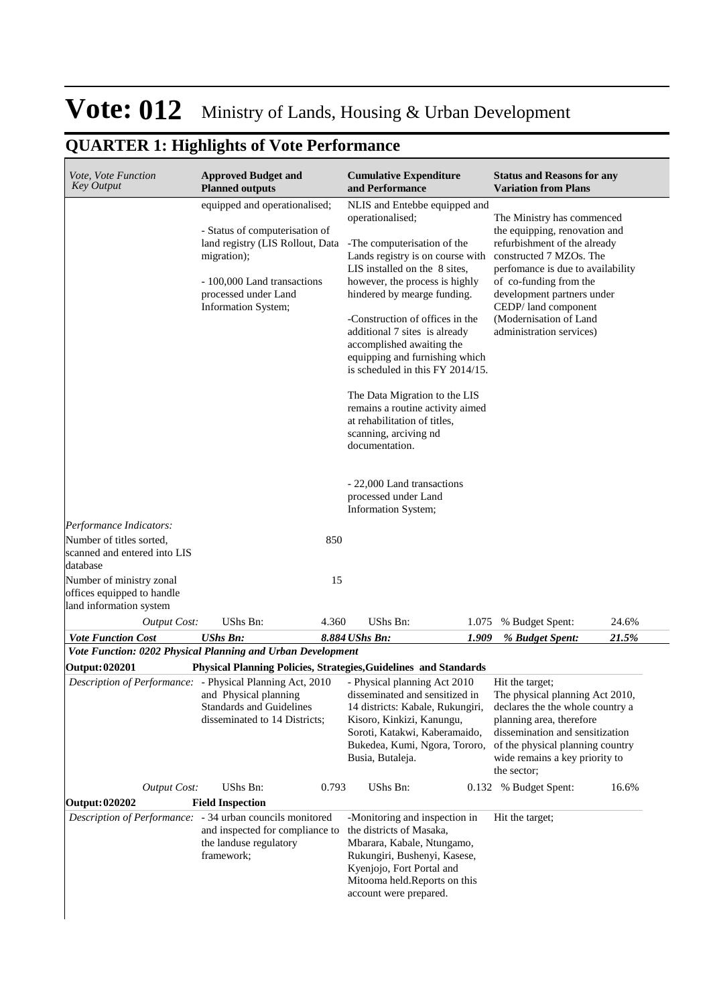## **QUARTER 1: Highlights of Vote Performance**

| <i>Vote, Vote Function</i><br><b>Key Output</b>                                   | <b>Approved Budget and</b><br><b>Planned outputs</b>                                                                                                                                             | <b>Cumulative Expenditure</b><br>and Performance                                                                                                                                                                                                                                                                                                                                                                                                                                                                                                                                                                           | <b>Status and Reasons for any</b><br><b>Variation from Plans</b>                                                                                                                                                                                                                                 |
|-----------------------------------------------------------------------------------|--------------------------------------------------------------------------------------------------------------------------------------------------------------------------------------------------|----------------------------------------------------------------------------------------------------------------------------------------------------------------------------------------------------------------------------------------------------------------------------------------------------------------------------------------------------------------------------------------------------------------------------------------------------------------------------------------------------------------------------------------------------------------------------------------------------------------------------|--------------------------------------------------------------------------------------------------------------------------------------------------------------------------------------------------------------------------------------------------------------------------------------------------|
| Performance Indicators:                                                           | equipped and operationalised;<br>- Status of computerisation of<br>land registry (LIS Rollout, Data<br>migration);<br>- 100,000 Land transactions<br>processed under Land<br>Information System; | NLIS and Entebbe equipped and<br>operationalised;<br>-The computerisation of the<br>Lands registry is on course with<br>LIS installed on the 8 sites,<br>however, the process is highly<br>hindered by mearge funding.<br>-Construction of offices in the<br>additional 7 sites is already<br>accomplished awaiting the<br>equipping and furnishing which<br>is scheduled in this FY 2014/15.<br>The Data Migration to the LIS<br>remains a routine activity aimed<br>at rehabilitation of titles,<br>scanning, arciving nd<br>documentation.<br>- 22,000 Land transactions<br>processed under Land<br>Information System; | The Ministry has commenced<br>the equipping, renovation and<br>refurbishment of the already<br>constructed 7 MZOs. The<br>perfomance is due to availability<br>of co-funding from the<br>development partners under<br>CEDP/land component<br>(Modernisation of Land<br>administration services) |
| Number of titles sorted,<br>scanned and entered into LIS<br>database              | 850                                                                                                                                                                                              |                                                                                                                                                                                                                                                                                                                                                                                                                                                                                                                                                                                                                            |                                                                                                                                                                                                                                                                                                  |
| Number of ministry zonal<br>offices equipped to handle<br>land information system | 15                                                                                                                                                                                               |                                                                                                                                                                                                                                                                                                                                                                                                                                                                                                                                                                                                                            |                                                                                                                                                                                                                                                                                                  |
| <b>Output Cost:</b>                                                               | UShs Bn:<br>4.360                                                                                                                                                                                | UShs Bn:<br>1.075                                                                                                                                                                                                                                                                                                                                                                                                                                                                                                                                                                                                          | 24.6%<br>% Budget Spent:                                                                                                                                                                                                                                                                         |
| <b>Vote Function Cost</b>                                                         | <b>UShs Bn:</b>                                                                                                                                                                                  | 8.884 UShs Bn:<br>1.909                                                                                                                                                                                                                                                                                                                                                                                                                                                                                                                                                                                                    | % Budget Spent:<br>21.5%                                                                                                                                                                                                                                                                         |
|                                                                                   | Vote Function: 0202 Physical Planning and Urban Development                                                                                                                                      |                                                                                                                                                                                                                                                                                                                                                                                                                                                                                                                                                                                                                            |                                                                                                                                                                                                                                                                                                  |
| <b>Output: 020201</b>                                                             |                                                                                                                                                                                                  | Physical Planning Policies, Strategies, Guidelines and Standards                                                                                                                                                                                                                                                                                                                                                                                                                                                                                                                                                           |                                                                                                                                                                                                                                                                                                  |
|                                                                                   | Description of Performance: - Physical Planning Act, 2010<br>and Physical planning<br><b>Standards and Guidelines</b><br>disseminated to 14 Districts;                                           | - Physical planning Act 2010<br>disseminated and sensitized in<br>14 districts: Kabale, Rukungiri,<br>Kisoro, Kinkizi, Kanungu,<br>Soroti, Katakwi, Kaberamaido,<br>Bukedea, Kumi, Ngora, Tororo,<br>Busia, Butaleja.                                                                                                                                                                                                                                                                                                                                                                                                      | Hit the target:<br>The physical planning Act 2010,<br>declares the the whole country a<br>planning area, therefore<br>dissemination and sensitization<br>of the physical planning country<br>wide remains a key priority to<br>the sector;                                                       |
| <b>Output Cost:</b>                                                               | UShs Bn:<br>0.793                                                                                                                                                                                | UShs Bn:                                                                                                                                                                                                                                                                                                                                                                                                                                                                                                                                                                                                                   | 16.6%<br>0.132 % Budget Spent:                                                                                                                                                                                                                                                                   |
| <b>Output: 020202</b>                                                             | <b>Field Inspection</b>                                                                                                                                                                          |                                                                                                                                                                                                                                                                                                                                                                                                                                                                                                                                                                                                                            |                                                                                                                                                                                                                                                                                                  |
|                                                                                   | Description of Performance: - 34 urban councils monitored<br>and inspected for compliance to<br>the landuse regulatory<br>framework;                                                             | -Monitoring and inspection in<br>the districts of Masaka,<br>Mbarara, Kabale, Ntungamo,<br>Rukungiri, Bushenyi, Kasese,<br>Kyenjojo, Fort Portal and<br>Mitooma held.Reports on this<br>account were prepared.                                                                                                                                                                                                                                                                                                                                                                                                             | Hit the target;                                                                                                                                                                                                                                                                                  |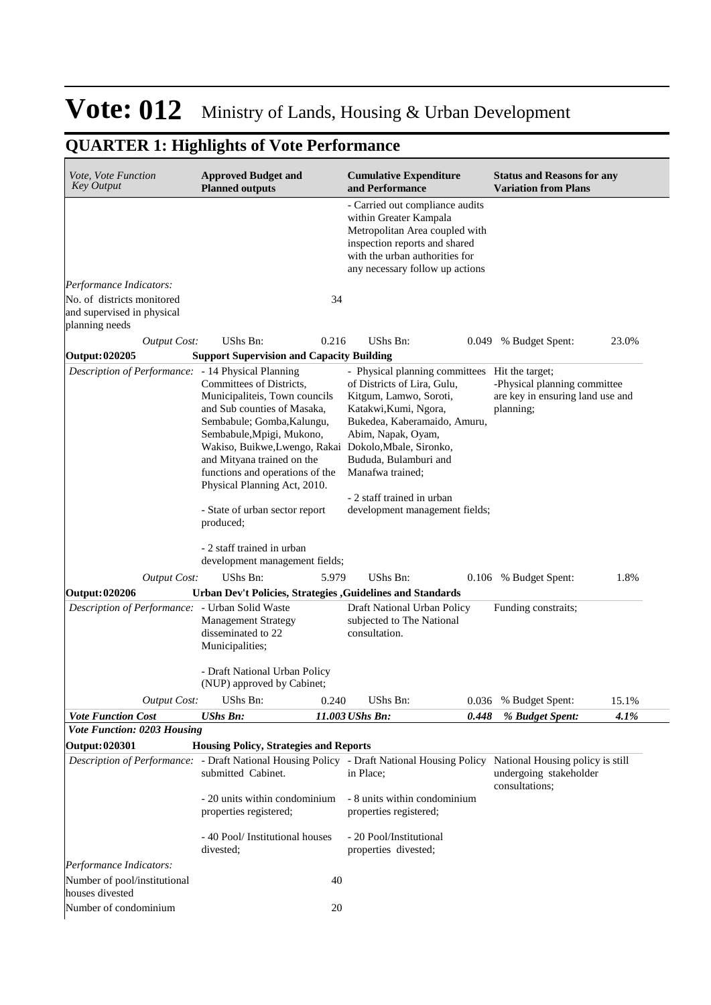## **QUARTER 1: Highlights of Vote Performance**

| <i>Vote, Vote Function</i><br><b>Key Output</b>                                                                              | <b>Approved Budget and</b><br><b>Planned outputs</b>                                                                                                                                                                                                                                                                                                        |       | <b>Cumulative Expenditure</b><br>and Performance                                                                                                                                                                                                                                                    |       | <b>Status and Reasons for any</b><br><b>Variation from Plans</b>              |       |
|------------------------------------------------------------------------------------------------------------------------------|-------------------------------------------------------------------------------------------------------------------------------------------------------------------------------------------------------------------------------------------------------------------------------------------------------------------------------------------------------------|-------|-----------------------------------------------------------------------------------------------------------------------------------------------------------------------------------------------------------------------------------------------------------------------------------------------------|-------|-------------------------------------------------------------------------------|-------|
|                                                                                                                              |                                                                                                                                                                                                                                                                                                                                                             |       | - Carried out compliance audits<br>within Greater Kampala<br>Metropolitan Area coupled with<br>inspection reports and shared<br>with the urban authorities for<br>any necessary follow up actions                                                                                                   |       |                                                                               |       |
| Performance Indicators:                                                                                                      |                                                                                                                                                                                                                                                                                                                                                             |       |                                                                                                                                                                                                                                                                                                     |       |                                                                               |       |
| No. of districts monitored<br>and supervised in physical<br>planning needs                                                   |                                                                                                                                                                                                                                                                                                                                                             | 34    |                                                                                                                                                                                                                                                                                                     |       |                                                                               |       |
| <b>Output Cost:</b>                                                                                                          | UShs Bn:                                                                                                                                                                                                                                                                                                                                                    | 0.216 | UShs Bn:                                                                                                                                                                                                                                                                                            |       | 0.049 % Budget Spent:                                                         | 23.0% |
| Output: 020205                                                                                                               | <b>Support Supervision and Capacity Building</b>                                                                                                                                                                                                                                                                                                            |       |                                                                                                                                                                                                                                                                                                     |       |                                                                               |       |
| Description of Performance: - 14 Physical Planning                                                                           | Committees of Districts,<br>Municipaliteis, Town councils<br>and Sub counties of Masaka,<br>Sembabule; Gomba, Kalungu,<br>Sembabule, Mpigi, Mukono,<br>Wakiso, Buikwe,Lwengo, Rakai Dokolo, Mbale, Sironko,<br>and Mityana trained on the<br>functions and operations of the<br>Physical Planning Act, 2010.<br>- State of urban sector report<br>produced; |       | - Physical planning committees Hit the target;<br>of Districts of Lira, Gulu,<br>Kitgum, Lamwo, Soroti,<br>Katakwi, Kumi, Ngora,<br>Bukedea, Kaberamaido, Amuru,<br>Abim, Napak, Oyam,<br>Bududa, Bulamburi and<br>Manafwa trained;<br>- 2 staff trained in urban<br>development management fields; |       | -Physical planning committee<br>are key in ensuring land use and<br>planning; |       |
|                                                                                                                              | - 2 staff trained in urban<br>development management fields;                                                                                                                                                                                                                                                                                                |       |                                                                                                                                                                                                                                                                                                     |       |                                                                               |       |
| <b>Output Cost:</b>                                                                                                          | UShs Bn:                                                                                                                                                                                                                                                                                                                                                    | 5.979 | UShs Bn:                                                                                                                                                                                                                                                                                            |       | 0.106 % Budget Spent:                                                         | 1.8%  |
| Output: 020206<br>Description of Performance: - Urban Solid Waste                                                            | Urban Dev't Policies, Strategies , Guidelines and Standards<br><b>Management Strategy</b><br>disseminated to 22<br>Municipalities;                                                                                                                                                                                                                          |       | Draft National Urban Policy<br>subjected to The National<br>consultation.                                                                                                                                                                                                                           |       | Funding constraits;                                                           |       |
|                                                                                                                              | - Draft National Urban Policy<br>(NUP) approved by Cabinet;                                                                                                                                                                                                                                                                                                 |       |                                                                                                                                                                                                                                                                                                     |       |                                                                               |       |
| <b>Output Cost:</b>                                                                                                          | UShs Bn:                                                                                                                                                                                                                                                                                                                                                    | 0.240 | UShs Bn:                                                                                                                                                                                                                                                                                            |       | 0.036 % Budget Spent:                                                         | 15.1% |
| <b>Vote Function Cost</b>                                                                                                    | <b>UShs Bn:</b>                                                                                                                                                                                                                                                                                                                                             |       | 11.003 UShs Bn:                                                                                                                                                                                                                                                                                     | 0.448 | % Budget Spent:                                                               | 4.1%  |
| Vote Function: 0203 Housing                                                                                                  |                                                                                                                                                                                                                                                                                                                                                             |       |                                                                                                                                                                                                                                                                                                     |       |                                                                               |       |
| <b>Output: 020301</b>                                                                                                        | <b>Housing Policy, Strategies and Reports</b>                                                                                                                                                                                                                                                                                                               |       |                                                                                                                                                                                                                                                                                                     |       |                                                                               |       |
| Description of Performance: - Draft National Housing Policy - Draft National Housing Policy National Housing policy is still | submitted Cabinet.                                                                                                                                                                                                                                                                                                                                          |       | in Place;                                                                                                                                                                                                                                                                                           |       | undergoing stakeholder<br>consultations;                                      |       |
|                                                                                                                              | - 20 units within condominium<br>properties registered;                                                                                                                                                                                                                                                                                                     |       | - 8 units within condominium<br>properties registered;                                                                                                                                                                                                                                              |       |                                                                               |       |
|                                                                                                                              | - 40 Pool/ Institutional houses<br>divested;                                                                                                                                                                                                                                                                                                                |       | - 20 Pool/Institutional<br>properties divested;                                                                                                                                                                                                                                                     |       |                                                                               |       |
| Performance Indicators:                                                                                                      |                                                                                                                                                                                                                                                                                                                                                             |       |                                                                                                                                                                                                                                                                                                     |       |                                                                               |       |
| Number of pool/institutional<br>houses divested                                                                              |                                                                                                                                                                                                                                                                                                                                                             | 40    |                                                                                                                                                                                                                                                                                                     |       |                                                                               |       |
| Number of condominium                                                                                                        |                                                                                                                                                                                                                                                                                                                                                             | 20    |                                                                                                                                                                                                                                                                                                     |       |                                                                               |       |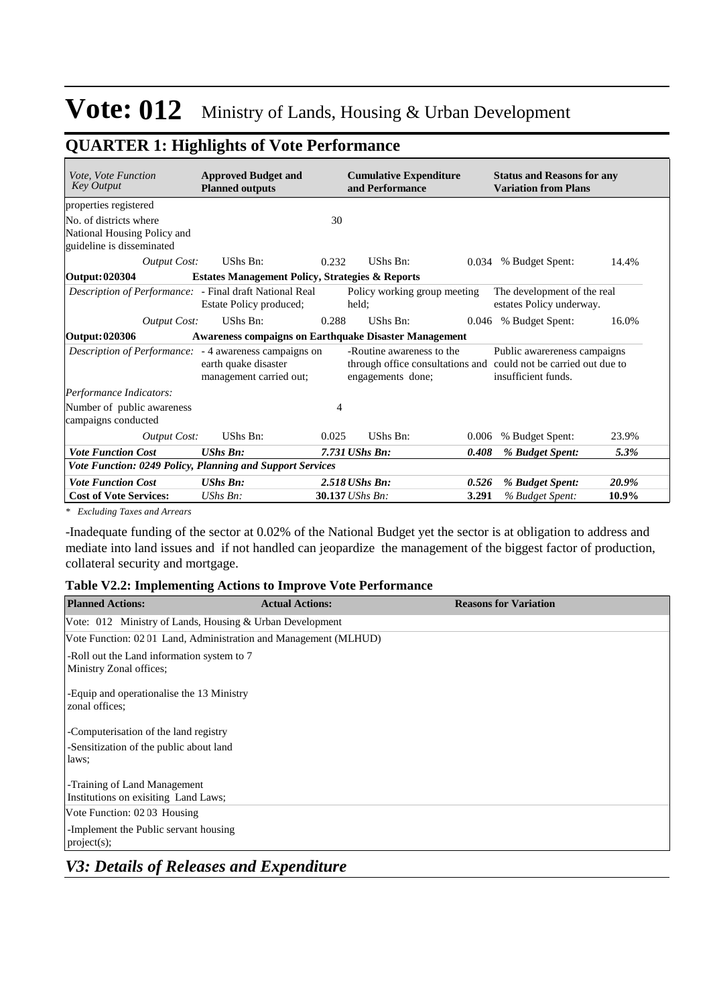## **QUARTER 1: Highlights of Vote Performance**

| <i>Vote, Vote Function</i><br><b>Key Output</b>                                                             | <b>Approved Budget and</b><br><b>Planned outputs</b>       |       | <b>Cumulative Expenditure</b><br>and Performance                                                                   |       | <b>Status and Reasons for any</b><br><b>Variation from Plans</b> |       |
|-------------------------------------------------------------------------------------------------------------|------------------------------------------------------------|-------|--------------------------------------------------------------------------------------------------------------------|-------|------------------------------------------------------------------|-------|
| properties registered<br>No. of districts where<br>National Housing Policy and<br>guideline is disseminated |                                                            | 30    |                                                                                                                    |       |                                                                  |       |
| <b>Output Cost:</b>                                                                                         | UShs Bn:                                                   | 0.232 | UShs Bn:                                                                                                           | 0.034 | % Budget Spent:                                                  | 14.4% |
| Output: 020304                                                                                              | <b>Estates Management Policy, Strategies &amp; Reports</b> |       |                                                                                                                    |       |                                                                  |       |
| <i>Description of Performance:</i> - Final draft National Real                                              | Estate Policy produced;                                    |       | Policy working group meeting<br>held;                                                                              |       | The development of the real<br>estates Policy underway.          |       |
| <b>Output Cost:</b>                                                                                         | UShs Bn:                                                   | 0.288 | UShs Bn:                                                                                                           | 0.046 | % Budget Spent:                                                  | 16.0% |
| Output: 020306                                                                                              |                                                            |       | <b>Awareness compaigns on Earthquake Disaster Management</b>                                                       |       |                                                                  |       |
| <i>Description of Performance</i> : - 4 awareness campaigns on                                              | earth quake disaster<br>management carried out;            |       | -Routine awareness to the<br>through office consultations and could not be carried out due to<br>engagements done; |       | Public aware reness campaigns<br>insufficient funds.             |       |
| Performance Indicators:                                                                                     |                                                            |       |                                                                                                                    |       |                                                                  |       |
| Number of public awareness<br>campaigns conducted                                                           |                                                            | 4     |                                                                                                                    |       |                                                                  |       |
| Output Cost:                                                                                                | UShs Bn:                                                   | 0.025 | UShs Bn:                                                                                                           | 0.006 | % Budget Spent:                                                  | 23.9% |
| <b>Vote Function Cost</b>                                                                                   | <b>UShs Bn:</b>                                            |       | 7.731 UShs Bn:                                                                                                     | 0.408 | % Budget Spent:                                                  | 5.3%  |
| Vote Function: 0249 Policy, Planning and Support Services                                                   |                                                            |       |                                                                                                                    |       |                                                                  |       |
| <b>Vote Function Cost</b>                                                                                   | <b>UShs Bn:</b>                                            |       | 2.518 UShs Bn:                                                                                                     | 0.526 | % Budget Spent:                                                  | 20.9% |
| <b>Cost of Vote Services:</b>                                                                               | $UShs Bn$ :                                                |       | 30.137 UShs Bn:                                                                                                    | 3.291 | % Budget Spent:                                                  | 10.9% |

*\* Excluding Taxes and Arrears*

-Inadequate funding of the sector at 0.02% of the National Budget yet the sector is at obligation to address and mediate into land issues and if not handled can jeopardize the management of the biggest factor of production, collateral security and mortgage.

#### **Table V2.2: Implementing Actions to Improve Vote Performance**

| <b>Planned Actions:</b>                                               | <b>Actual Actions:</b>                                   | <b>Reasons for Variation</b> |  |  |  |  |  |  |
|-----------------------------------------------------------------------|----------------------------------------------------------|------------------------------|--|--|--|--|--|--|
|                                                                       | Vote: 012 Ministry of Lands, Housing & Urban Development |                              |  |  |  |  |  |  |
| Vote Function: 0201 Land, Administration and Management (MLHUD)       |                                                          |                              |  |  |  |  |  |  |
| -Roll out the Land information system to 7<br>Ministry Zonal offices; |                                                          |                              |  |  |  |  |  |  |
| -Equip and operationalise the 13 Ministry<br>zonal offices:           |                                                          |                              |  |  |  |  |  |  |
| -Computerisation of the land registry                                 |                                                          |                              |  |  |  |  |  |  |
| -Sensitization of the public about land                               |                                                          |                              |  |  |  |  |  |  |
| laws;                                                                 |                                                          |                              |  |  |  |  |  |  |
| -Training of Land Management<br>Institutions on exisiting Land Laws;  |                                                          |                              |  |  |  |  |  |  |
| Vote Function: 0203 Housing                                           |                                                          |                              |  |  |  |  |  |  |
| -Implement the Public servant housing                                 |                                                          |                              |  |  |  |  |  |  |
| project(s);                                                           |                                                          |                              |  |  |  |  |  |  |

### *V3: Details of Releases and Expenditure*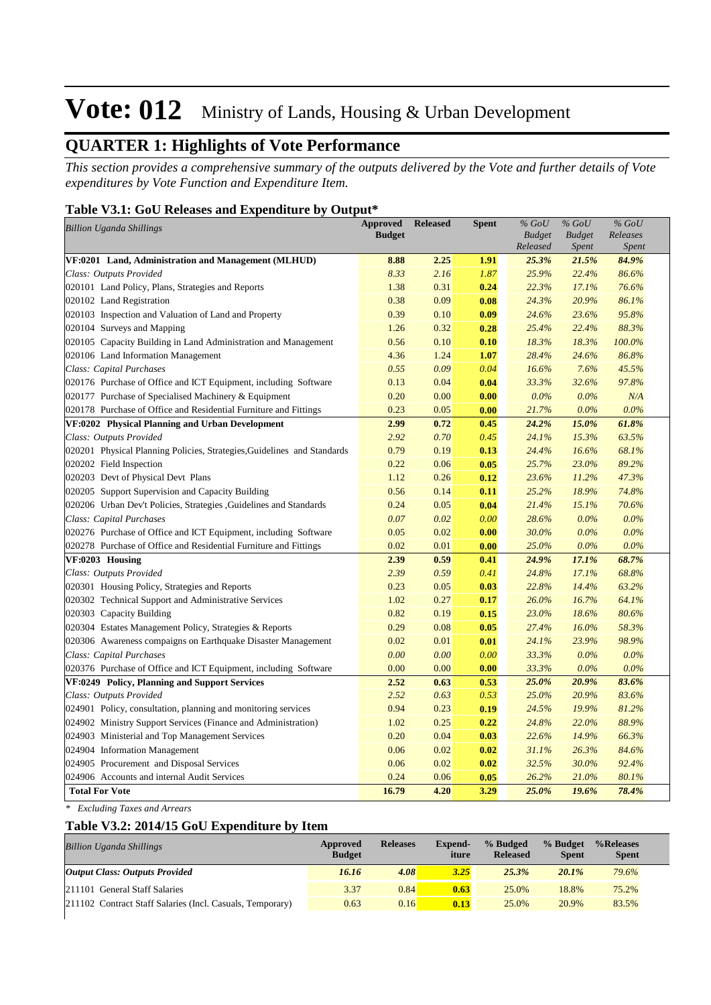## **QUARTER 1: Highlights of Vote Performance**

*This section provides a comprehensive summary of the outputs delivered by the Vote and further details of Vote expenditures by Vote Function and Expenditure Item.*

### **Table V3.1: GoU Releases and Expenditure by Output\***

| <b>Approved</b><br><b>Billion Uganda Shillings</b>                      |               | <b>Released</b> | <b>Spent</b> | $%$ GoU                   | $%$ GoU                       | $%$ GoU                  |
|-------------------------------------------------------------------------|---------------|-----------------|--------------|---------------------------|-------------------------------|--------------------------|
|                                                                         | <b>Budget</b> |                 |              | <b>Budget</b><br>Released | <b>Budget</b><br><b>Spent</b> | Releases<br><b>Spent</b> |
| VF:0201 Land, Administration and Management (MLHUD)                     | 8.88          | 2.25            | 1.91         | 25.3%                     | 21.5%                         | 84.9%                    |
| Class: Outputs Provided                                                 | 8.33          | 2.16            | 1.87         | 25.9%                     | 22.4%                         | 86.6%                    |
| 020101 Land Policy, Plans, Strategies and Reports                       | 1.38          | 0.31            | 0.24         | 22.3%                     | 17.1%                         | 76.6%                    |
| 020102 Land Registration                                                | 0.38          | 0.09            | 0.08         | 24.3%                     | 20.9%                         | 86.1%                    |
| 020103 Inspection and Valuation of Land and Property                    | 0.39          | 0.10            | 0.09         | 24.6%                     | 23.6%                         | 95.8%                    |
| 020104 Surveys and Mapping                                              | 1.26          | 0.32            | 0.28         | 25.4%                     | 22.4%                         | 88.3%                    |
| 020105 Capacity Building in Land Administration and Management          | 0.56          | 0.10            | 0.10         | 18.3%                     | 18.3%                         | 100.0%                   |
| 020106 Land Information Management                                      | 4.36          | 1.24            | 1.07         | 28.4%                     | 24.6%                         | 86.8%                    |
| Class: Capital Purchases                                                | 0.55          | 0.09            | 0.04         | 16.6%                     | 7.6%                          | 45.5%                    |
| 020176 Purchase of Office and ICT Equipment, including Software         | 0.13          | 0.04            | 0.04         | 33.3%                     | 32.6%                         | 97.8%                    |
| 020177 Purchase of Specialised Machinery & Equipment                    | 0.20          | 0.00            | 0.00         | 0.0%                      | 0.0%                          | N/A                      |
| 020178 Purchase of Office and Residential Furniture and Fittings        | 0.23          | 0.05            | 0.00         | 21.7%                     | $0.0\%$                       | 0.0%                     |
| VF:0202 Physical Planning and Urban Development                         | 2.99          | 0.72            | 0.45         | 24.2%                     | 15.0%                         | 61.8%                    |
| Class: Outputs Provided                                                 | 2.92          | 0.70            | 0.45         | 24.1%                     | 15.3%                         | 63.5%                    |
| 020201 Physical Planning Policies, Strategies, Guidelines and Standards | 0.79          | 0.19            | 0.13         | 24.4%                     | 16.6%                         | 68.1%                    |
| 020202 Field Inspection                                                 | 0.22          | 0.06            | 0.05         | 25.7%                     | 23.0%                         | 89.2%                    |
| 020203 Devt of Physical Devt Plans                                      | 1.12          | 0.26            | 0.12         | 23.6%                     | 11.2%                         | 47.3%                    |
| 020205 Support Supervision and Capacity Building                        | 0.56          | 0.14            | 0.11         | 25.2%                     | 18.9%                         | 74.8%                    |
| 020206 Urban Dev't Policies, Strategies , Guidelines and Standards      | 0.24          | 0.05            | 0.04         | 21.4%                     | 15.1%                         | 70.6%                    |
| Class: Capital Purchases                                                | 0.07          | 0.02            | 0.00         | 28.6%                     | $0.0\%$                       | 0.0%                     |
| 020276 Purchase of Office and ICT Equipment, including Software         | 0.05          | 0.02            | 0.00         | 30.0%                     | $0.0\%$                       | $0.0\%$                  |
| 020278 Purchase of Office and Residential Furniture and Fittings        | 0.02          | 0.01            | 0.00         | 25.0%                     | 0.0%                          | 0.0%                     |
| VF:0203 Housing                                                         | 2.39          | 0.59            | 0.41         | 24.9%                     | 17.1%                         | 68.7%                    |
| Class: Outputs Provided                                                 | 2.39          | 0.59            | 0.41         | 24.8%                     | 17.1%                         | 68.8%                    |
| 020301 Housing Policy, Strategies and Reports                           | 0.23          | 0.05            | 0.03         | 22.8%                     | 14.4%                         | 63.2%                    |
| 020302 Technical Support and Administrative Services                    | 1.02          | 0.27            | 0.17         | 26.0%                     | 16.7%                         | 64.1%                    |
| 020303 Capacity Building                                                | 0.82          | 0.19            | 0.15         | 23.0%                     | 18.6%                         | 80.6%                    |
| 020304 Estates Management Policy, Strategies & Reports                  | 0.29          | 0.08            | 0.05         | 27.4%                     | 16.0%                         | 58.3%                    |
| 020306 Awareness compaigns on Earthquake Disaster Management            | 0.02          | 0.01            | 0.01         | 24.1%                     | 23.9%                         | 98.9%                    |
| Class: Capital Purchases                                                | 0.00          | 0.00            | 0.00         | 33.3%                     | 0.0%                          | 0.0%                     |
| 020376 Purchase of Office and ICT Equipment, including Software         | 0.00          | 0.00            | 0.00         | 33.3%                     | $0.0\%$                       | 0.0%                     |
| VF:0249 Policy, Planning and Support Services                           | 2.52          | 0.63            | 0.53         | 25.0%                     | 20.9%                         | 83.6%                    |
| Class: Outputs Provided                                                 | 2.52          | 0.63            | 0.53         | 25.0%                     | 20.9%                         | 83.6%                    |
| 024901 Policy, consultation, planning and monitoring services           | 0.94          | 0.23            | 0.19         | 24.5%                     | 19.9%                         | 81.2%                    |
| 024902 Ministry Support Services (Finance and Administration)           | 1.02          | 0.25            | 0.22         | 24.8%                     | 22.0%                         | 88.9%                    |
| 024903 Ministerial and Top Management Services                          | 0.20          | 0.04            | 0.03         | 22.6%                     | 14.9%                         | 66.3%                    |
| 024904 Information Management                                           | 0.06          | 0.02            | 0.02         | 31.1%                     | 26.3%                         | 84.6%                    |
| 024905 Procurement and Disposal Services                                | 0.06          | 0.02            | 0.02         | 32.5%                     | 30.0%                         | 92.4%                    |
| 024906 Accounts and internal Audit Services                             | 0.24          | 0.06            | 0.05         | 26.2%                     | 21.0%                         | 80.1%                    |
| <b>Total For Vote</b>                                                   | 16.79         | 4.20            | 3.29         | 25.0%                     | 19.6%                         | 78.4%                    |

*\* Excluding Taxes and Arrears*

### **Table V3.2: 2014/15 GoU Expenditure by Item**

| <b>Billion Uganda Shillings</b>                           | Approved<br><b>Budget</b> | <b>Releases</b> | <b>Expend-</b><br>iture | % Budged<br><b>Released</b> | % Budget<br><b>Spent</b> | %Releases<br><b>Spent</b> |
|-----------------------------------------------------------|---------------------------|-----------------|-------------------------|-----------------------------|--------------------------|---------------------------|
| <b>Output Class: Outputs Provided</b>                     | 16.16                     | 4.08            | 3.25                    | 25.3%                       | 20.1%                    | 79.6%                     |
| 211101 General Staff Salaries                             | 3.37                      | 0.84            | 0.63                    | 25.0%                       | 18.8%                    | 75.2%                     |
| 211102 Contract Staff Salaries (Incl. Casuals, Temporary) | 0.63                      | 0.16            | 0.13                    | 25.0%                       | 20.9%                    | 83.5%                     |
|                                                           |                           |                 |                         |                             |                          |                           |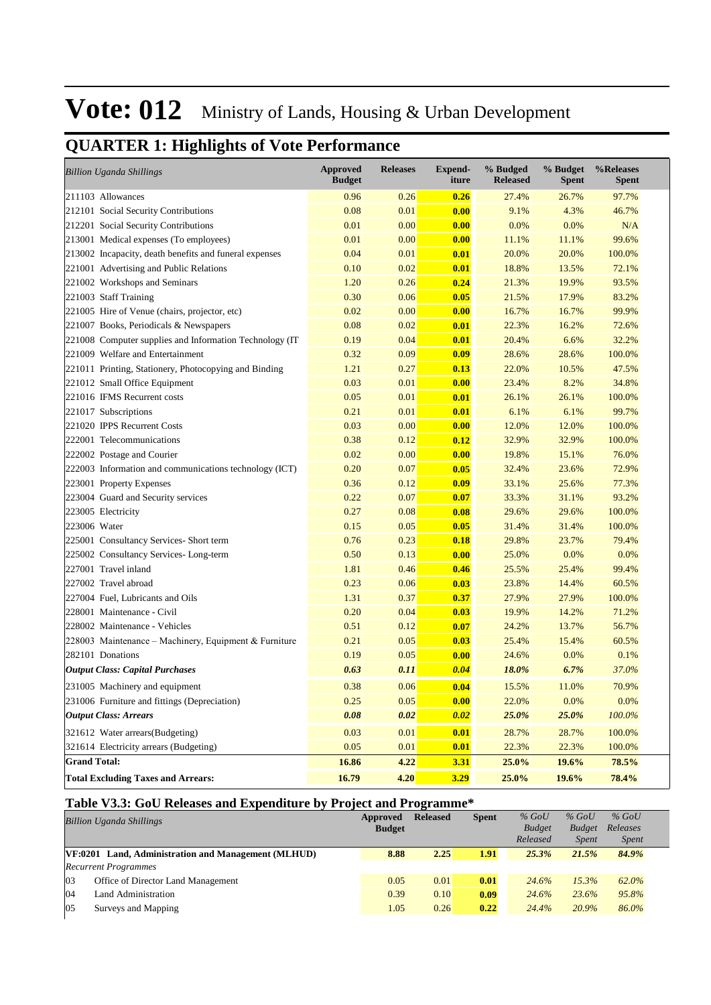## **QUARTER 1: Highlights of Vote Performance**

| <b>Billion Uganda Shillings</b>                          | <b>Approved</b><br><b>Budget</b> | <b>Releases</b> | <b>Expend-</b><br>iture | % Budged<br><b>Released</b> | % Budget<br><b>Spent</b> | %Releases<br><b>Spent</b> |
|----------------------------------------------------------|----------------------------------|-----------------|-------------------------|-----------------------------|--------------------------|---------------------------|
| 211103 Allowances                                        | 0.96                             | 0.26            | 0.26                    | 27.4%                       | 26.7%                    | 97.7%                     |
| 212101 Social Security Contributions                     | 0.08                             | 0.01            | 0.00                    | 9.1%                        | 4.3%                     | 46.7%                     |
| 212201 Social Security Contributions                     | 0.01                             | 0.00            | 0.00                    | 0.0%                        | 0.0%                     | N/A                       |
| 213001 Medical expenses (To employees)                   | 0.01                             | 0.00            | 0.00                    | 11.1%                       | 11.1%                    | 99.6%                     |
| 213002 Incapacity, death benefits and funeral expenses   | 0.04                             | 0.01            | 0.01                    | 20.0%                       | 20.0%                    | 100.0%                    |
| 221001 Advertising and Public Relations                  | 0.10                             | 0.02            | 0.01                    | 18.8%                       | 13.5%                    | 72.1%                     |
| 221002 Workshops and Seminars                            | 1.20                             | 0.26            | 0.24                    | 21.3%                       | 19.9%                    | 93.5%                     |
| 221003 Staff Training                                    | 0.30                             | 0.06            | 0.05                    | 21.5%                       | 17.9%                    | 83.2%                     |
| 221005 Hire of Venue (chairs, projector, etc)            | 0.02                             | 0.00            | 0.00                    | 16.7%                       | 16.7%                    | 99.9%                     |
| 221007 Books, Periodicals & Newspapers                   | 0.08                             | 0.02            | 0.01                    | 22.3%                       | 16.2%                    | 72.6%                     |
| 221008 Computer supplies and Information Technology (IT) | 0.19                             | 0.04            | 0.01                    | 20.4%                       | 6.6%                     | 32.2%                     |
| 221009 Welfare and Entertainment                         | 0.32                             | 0.09            | 0.09                    | 28.6%                       | 28.6%                    | 100.0%                    |
| 221011 Printing, Stationery, Photocopying and Binding    | 1.21                             | 0.27            | 0.13                    | 22.0%                       | 10.5%                    | 47.5%                     |
| 221012 Small Office Equipment                            | 0.03                             | 0.01            | 0.00                    | 23.4%                       | 8.2%                     | 34.8%                     |
| 221016 IFMS Recurrent costs                              | 0.05                             | 0.01            | 0.01                    | 26.1%                       | 26.1%                    | 100.0%                    |
| 221017 Subscriptions                                     | 0.21                             | 0.01            | 0.01                    | 6.1%                        | 6.1%                     | 99.7%                     |
| 221020 IPPS Recurrent Costs                              | 0.03                             | 0.00            | 0.00                    | 12.0%                       | 12.0%                    | 100.0%                    |
| 222001 Telecommunications                                | 0.38                             | 0.12            | 0.12                    | 32.9%                       | 32.9%                    | 100.0%                    |
| 222002 Postage and Courier                               | 0.02                             | 0.00            | 0.00                    | 19.8%                       | 15.1%                    | 76.0%                     |
| 222003 Information and communications technology (ICT)   | 0.20                             | 0.07            | 0.05                    | 32.4%                       | 23.6%                    | 72.9%                     |
| 223001 Property Expenses                                 | 0.36                             | 0.12            | 0.09                    | 33.1%                       | 25.6%                    | 77.3%                     |
| 223004 Guard and Security services                       | 0.22                             | 0.07            | 0.07                    | 33.3%                       | 31.1%                    | 93.2%                     |
| 223005 Electricity                                       | 0.27                             | 0.08            | 0.08                    | 29.6%                       | 29.6%                    | 100.0%                    |
| 223006 Water                                             | 0.15                             | 0.05            | 0.05                    | 31.4%                       | 31.4%                    | 100.0%                    |
| 225001 Consultancy Services- Short term                  | 0.76                             | 0.23            | 0.18                    | 29.8%                       | 23.7%                    | 79.4%                     |
| 225002 Consultancy Services-Long-term                    | 0.50                             | 0.13            | 0.00                    | 25.0%                       | 0.0%                     | 0.0%                      |
| 227001 Travel inland                                     | 1.81                             | 0.46            | 0.46                    | 25.5%                       | 25.4%                    | 99.4%                     |
| 227002 Travel abroad                                     | 0.23                             | 0.06            | 0.03                    | 23.8%                       | 14.4%                    | 60.5%                     |
| 227004 Fuel, Lubricants and Oils                         | 1.31                             | 0.37            | 0.37                    | 27.9%                       | 27.9%                    | 100.0%                    |
| 228001 Maintenance - Civil                               | 0.20                             | 0.04            | 0.03                    | 19.9%                       | 14.2%                    | 71.2%                     |
| 228002 Maintenance - Vehicles                            | 0.51                             | 0.12            | 0.07                    | 24.2%                       | 13.7%                    | 56.7%                     |
| 228003 Maintenance – Machinery, Equipment & Furniture    | 0.21                             | 0.05            | 0.03                    | 25.4%                       | 15.4%                    | 60.5%                     |
| 282101 Donations                                         | 0.19                             | 0.05            | 0.00                    | 24.6%                       | 0.0%                     | 0.1%                      |
| <b>Output Class: Capital Purchases</b>                   | 0.63                             | 0.11            | 0.04                    | 18.0%                       | 6.7%                     | 37.0%                     |
| 231005 Machinery and equipment                           | 0.38                             | 0.06            | 0.04                    | 15.5%                       | 11.0%                    | 70.9%                     |
| 231006 Furniture and fittings (Depreciation)             | 0.25                             | 0.05            | 0.00                    | 22.0%                       | 0.0%                     | 0.0%                      |
| <b>Output Class: Arrears</b>                             | 0.08                             | 0.02            | 0.02                    | 25.0%                       | 25.0%                    | $100.0\%$                 |
| 321612 Water arrears(Budgeting)                          | 0.03                             | 0.01            | 0.01                    | 28.7%                       | 28.7%                    | 100.0%                    |
| 321614 Electricity arrears (Budgeting)                   | 0.05                             | 0.01            | 0.01                    | 22.3%                       | 22.3%                    | 100.0%                    |
| <b>Grand Total:</b>                                      | 16.86                            | 4.22            | 3.31                    | 25.0%                       | 19.6%                    | 78.5%                     |
| <b>Total Excluding Taxes and Arrears:</b>                | 16.79                            | 4.20            | 3.29                    | 25.0%                       | 19.6%                    | 78.4%                     |

### **Table V3.3: GoU Releases and Expenditure by Project and Programme\***

|    | <b>Billion Uganda Shillings</b>                     | Approved<br><b>Budget</b> | <b>Released</b> | <b>Spent</b> | $%$ GoU<br><b>Budget</b><br>Released | $%$ GoU<br><b>Budget</b><br><i>Spent</i> | $%$ GoU<br>Releases<br><i>Spent</i> |  |
|----|-----------------------------------------------------|---------------------------|-----------------|--------------|--------------------------------------|------------------------------------------|-------------------------------------|--|
|    | VF:0201 Land, Administration and Management (MLHUD) | 8.88                      | 2.25            | 1.91         | 25.3%                                | 21.5%                                    | 84.9%                               |  |
|    | <b>Recurrent Programmes</b>                         |                           |                 |              |                                      |                                          |                                     |  |
| 03 | Office of Director Land Management                  | 0.05                      | 0.01            | 0.01         | 24.6%                                | 15.3%                                    | 62.0%                               |  |
| 04 | Land Administration                                 | 0.39                      | 0.10            | 0.09         | 24.6%                                | 23.6%                                    | 95.8%                               |  |
| 05 | Surveys and Mapping                                 | 1.05                      | 0.26            | 0.22         | 24.4%                                | 20.9%                                    | 86.0%                               |  |